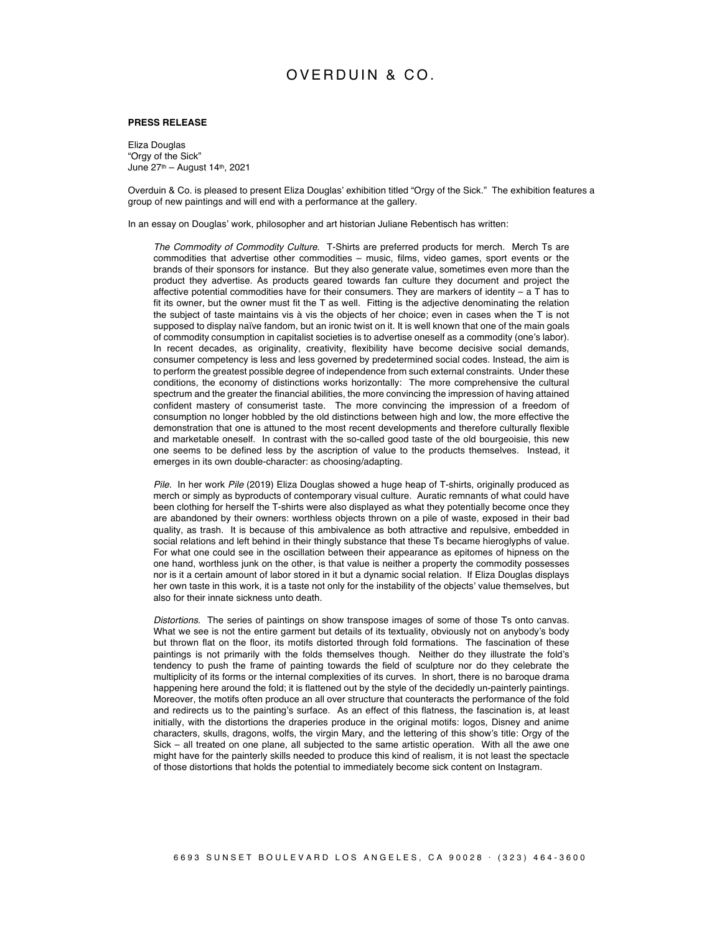## OVERDUIN & CO.

## **PRESS RELEASE**

Eliza Douglas "Orgy of the Sick" June 27th – August 14th, 2021

Overduin & Co. is pleased to present Eliza Douglas' exhibition titled "Orgy of the Sick." The exhibition features a group of new paintings and will end with a performance at the gallery.

In an essay on Douglas' work, philosopher and art historian Juliane Rebentisch has written:

*The Commodity of Commodity Culture*. T-Shirts are preferred products for merch. Merch Ts are commodities that advertise other commodities – music, films, video games, sport events or the brands of their sponsors for instance. But they also generate value, sometimes even more than the product they advertise. As products geared towards fan culture they document and project the affective potential commodities have for their consumers. They are markers of identity – a T has to fit its owner, but the owner must fit the T as well. Fitting is the adjective denominating the relation the subject of taste maintains vis à vis the objects of her choice; even in cases when the T is not supposed to display naïve fandom, but an ironic twist on it. It is well known that one of the main goals of commodity consumption in capitalist societies is to advertise oneself as a commodity (one's labor). In recent decades, as originality, creativity, flexibility have become decisive social demands, consumer competency is less and less governed by predetermined social codes. Instead, the aim is to perform the greatest possible degree of independence from such external constraints. Under these conditions, the economy of distinctions works horizontally: The more comprehensive the cultural spectrum and the greater the financial abilities, the more convincing the impression of having attained confident mastery of consumerist taste. The more convincing the impression of a freedom of consumption no longer hobbled by the old distinctions between high and low, the more effective the demonstration that one is attuned to the most recent developments and therefore culturally flexible and marketable oneself. In contrast with the so-called good taste of the old bourgeoisie, this new one seems to be defined less by the ascription of value to the products themselves. Instead, it emerges in its own double-character: as choosing/adapting.

*Pile*. In her work *Pile* (2019) Eliza Douglas showed a huge heap of T-shirts, originally produced as merch or simply as byproducts of contemporary visual culture. Auratic remnants of what could have been clothing for herself the T-shirts were also displayed as what they potentially become once they are abandoned by their owners: worthless objects thrown on a pile of waste, exposed in their bad quality, as trash. It is because of this ambivalence as both attractive and repulsive, embedded in social relations and left behind in their thingly substance that these Ts became hieroglyphs of value. For what one could see in the oscillation between their appearance as epitomes of hipness on the one hand, worthless junk on the other, is that value is neither a property the commodity possesses nor is it a certain amount of labor stored in it but a dynamic social relation. If Eliza Douglas displays her own taste in this work, it is a taste not only for the instability of the objects' value themselves, but also for their innate sickness unto death.

*Distortions*. The series of paintings on show transpose images of some of those Ts onto canvas. What we see is not the entire garment but details of its textuality, obviously not on anybody's body but thrown flat on the floor, its motifs distorted through fold formations. The fascination of these paintings is not primarily with the folds themselves though. Neither do they illustrate the fold's tendency to push the frame of painting towards the field of sculpture nor do they celebrate the multiplicity of its forms or the internal complexities of its curves. In short, there is no baroque drama happening here around the fold; it is flattened out by the style of the decidedly un-painterly paintings. Moreover, the motifs often produce an all over structure that counteracts the performance of the fold and redirects us to the painting's surface. As an effect of this flatness, the fascination is, at least initially, with the distortions the draperies produce in the original motifs: logos, Disney and anime characters, skulls, dragons, wolfs, the virgin Mary, and the lettering of this show's title: Orgy of the Sick – all treated on one plane, all subjected to the same artistic operation. With all the awe one might have for the painterly skills needed to produce this kind of realism, it is not least the spectacle of those distortions that holds the potential to immediately become sick content on Instagram.